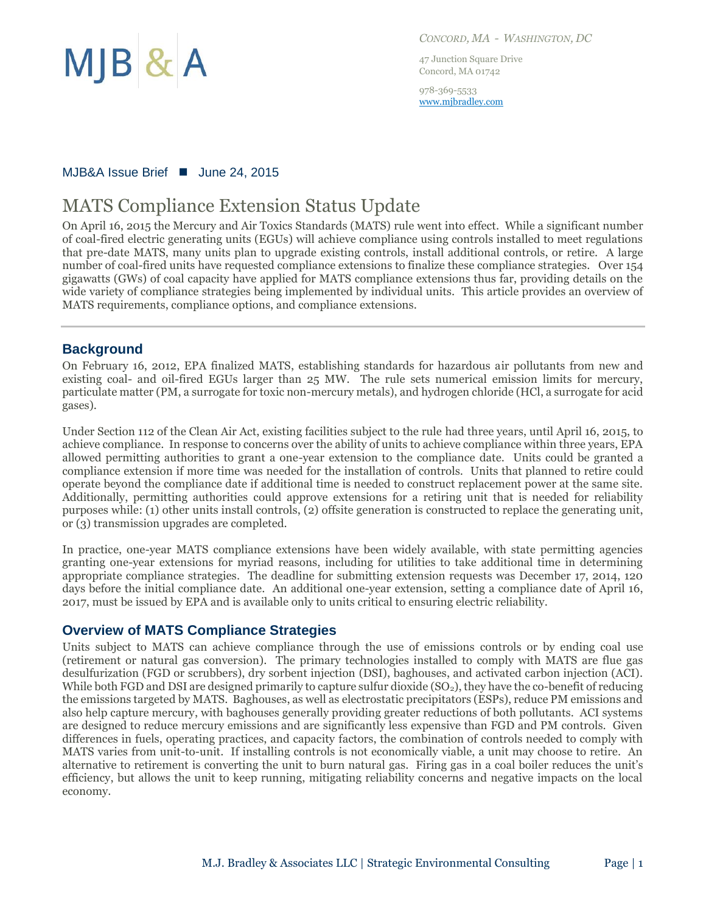

*CONCORD, MA - WASHINGTON, DC*

47 Junction Square Drive Concord, MA 01742

978-369-5533 [www.mjbradley.com](http://www.mjbradley.com/)

#### MJB&A Issue Brief ■ June 24, 2015

# MATS Compliance Extension Status Update

On April 16, 2015 the Mercury and Air Toxics Standards (MATS) rule went into effect. While a significant number of coal-fired electric generating units (EGUs) will achieve compliance using controls installed to meet regulations that pre-date MATS, many units plan to upgrade existing controls, install additional controls, or retire. A large number of coal-fired units have requested compliance extensions to finalize these compliance strategies. Over 154 gigawatts (GWs) of coal capacity have applied for MATS compliance extensions thus far, providing details on the wide variety of compliance strategies being implemented by individual units. This article provides an overview of MATS requirements, compliance options, and compliance extensions.

#### **Background**

On February 16, 2012, EPA finalized MATS, establishing standards for hazardous air pollutants from new and existing coal- and oil-fired EGUs larger than 25 MW. The rule sets numerical emission limits for mercury, particulate matter (PM, a surrogate for toxic non-mercury metals), and hydrogen chloride (HCl, a surrogate for acid gases).

Under Section 112 of the Clean Air Act, existing facilities subject to the rule had three years, until April 16, 2015, to achieve compliance. In response to concerns over the ability of units to achieve compliance within three years, EPA allowed permitting authorities to grant a one-year extension to the compliance date. Units could be granted a compliance extension if more time was needed for the installation of controls. Units that planned to retire could operate beyond the compliance date if additional time is needed to construct replacement power at the same site. Additionally, permitting authorities could approve extensions for a retiring unit that is needed for reliability purposes while: (1) other units install controls, (2) offsite generation is constructed to replace the generating unit, or (3) transmission upgrades are completed.

In practice, one-year MATS compliance extensions have been widely available, with state permitting agencies granting one-year extensions for myriad reasons, including for utilities to take additional time in determining appropriate compliance strategies. The deadline for submitting extension requests was December 17, 2014, 120 days before the initial compliance date. An additional one-year extension, setting a compliance date of April 16, 2017, must be issued by EPA and is available only to units critical to ensuring electric reliability.

#### **Overview of MATS Compliance Strategies**

Units subject to MATS can achieve compliance through the use of emissions controls or by ending coal use (retirement or natural gas conversion). The primary technologies installed to comply with MATS are flue gas desulfurization (FGD or scrubbers), dry sorbent injection (DSI), baghouses, and activated carbon injection (ACI). While both FGD and DSI are designed primarily to capture sulfur dioxide  $(SO<sub>2</sub>)$ , they have the co-benefit of reducing the emissions targeted by MATS. Baghouses, as well as electrostatic precipitators (ESPs), reduce PM emissions and also help capture mercury, with baghouses generally providing greater reductions of both pollutants. ACI systems are designed to reduce mercury emissions and are significantly less expensive than FGD and PM controls. Given differences in fuels, operating practices, and capacity factors, the combination of controls needed to comply with MATS varies from unit-to-unit. If installing controls is not economically viable, a unit may choose to retire. An alternative to retirement is converting the unit to burn natural gas. Firing gas in a coal boiler reduces the unit's efficiency, but allows the unit to keep running, mitigating reliability concerns and negative impacts on the local economy.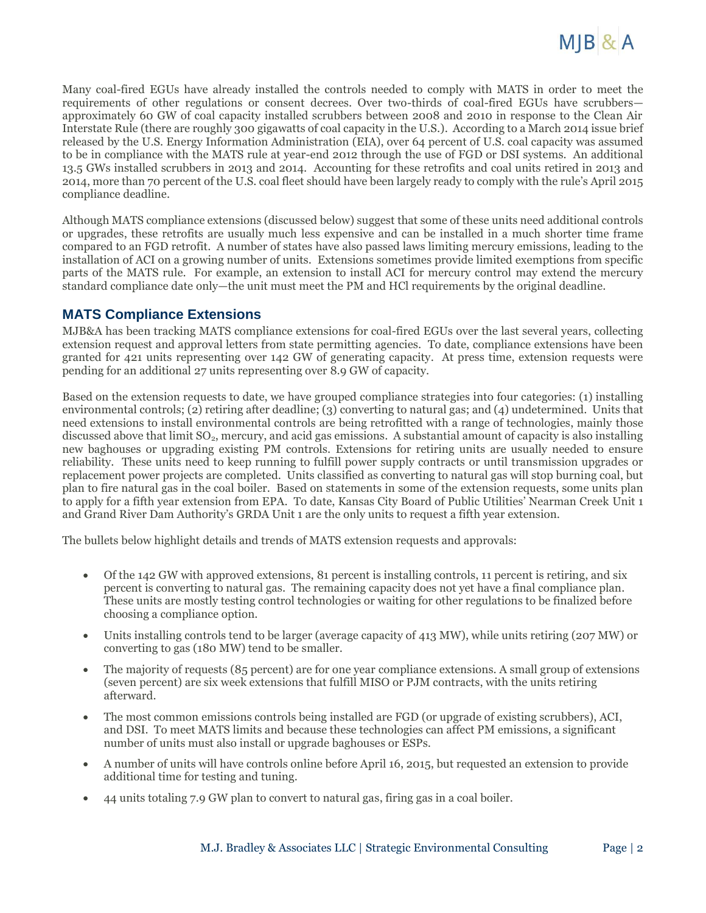

Many coal-fired EGUs have already installed the controls needed to comply with MATS in order to meet the requirements of other regulations or consent decrees. Over two-thirds of coal-fired EGUs have scrubbers approximately 60 GW of coal capacity installed scrubbers between 2008 and 2010 in response to the Clean Air Interstate Rule (there are roughly 300 gigawatts of coal capacity in the U.S.). According to a March 2014 issue brief released by the U.S. Energy Information Administration (EIA), over 64 percent of U.S. coal capacity was assumed to be in compliance with the MATS rule at year-end 2012 through the use of FGD or DSI systems. An additional 13.5 GWs installed scrubbers in 2013 and 2014. Accounting for these retrofits and coal units retired in 2013 and 2014, more than 70 percent of the U.S. coal fleet should have been largely ready to comply with the rule's April 2015 compliance deadline.

Although MATS compliance extensions (discussed below) suggest that some of these units need additional controls or upgrades, these retrofits are usually much less expensive and can be installed in a much shorter time frame compared to an FGD retrofit. A number of states have also passed laws limiting mercury emissions, leading to the installation of ACI on a growing number of units. Extensions sometimes provide limited exemptions from specific parts of the MATS rule. For example, an extension to install ACI for mercury control may extend the mercury standard compliance date only—the unit must meet the PM and HCl requirements by the original deadline.

#### **MATS Compliance Extensions**

MJB&A has been tracking MATS compliance extensions for coal-fired EGUs over the last several years, collecting extension request and approval letters from state permitting agencies. To date, compliance extensions have been granted for 421 units representing over 142 GW of generating capacity. At press time, extension requests were pending for an additional 27 units representing over 8.9 GW of capacity.

Based on the extension requests to date, we have grouped compliance strategies into four categories: (1) installing environmental controls; (2) retiring after deadline; (3) converting to natural gas; and (4) undetermined. Units that need extensions to install environmental controls are being retrofitted with a range of technologies, mainly those discussed above that limit SO<sub>2</sub>, mercury, and acid gas emissions. A substantial amount of capacity is also installing new baghouses or upgrading existing PM controls. Extensions for retiring units are usually needed to ensure reliability. These units need to keep running to fulfill power supply contracts or until transmission upgrades or replacement power projects are completed. Units classified as converting to natural gas will stop burning coal, but plan to fire natural gas in the coal boiler. Based on statements in some of the extension requests, some units plan to apply for a fifth year extension from EPA. To date, Kansas City Board of Public Utilities' Nearman Creek Unit 1 and Grand River Dam Authority's GRDA Unit 1 are the only units to request a fifth year extension.

The bullets below highlight details and trends of MATS extension requests and approvals:

- Of the 142 GW with approved extensions, 81 percent is installing controls, 11 percent is retiring, and six percent is converting to natural gas. The remaining capacity does not yet have a final compliance plan. These units are mostly testing control technologies or waiting for other regulations to be finalized before choosing a compliance option.
- Units installing controls tend to be larger (average capacity of 413 MW), while units retiring (207 MW) or converting to gas (180 MW) tend to be smaller.
- The majority of requests (85 percent) are for one year compliance extensions. A small group of extensions (seven percent) are six week extensions that fulfill MISO or PJM contracts, with the units retiring afterward.
- The most common emissions controls being installed are FGD (or upgrade of existing scrubbers), ACI, and DSI. To meet MATS limits and because these technologies can affect PM emissions, a significant number of units must also install or upgrade baghouses or ESPs.
- A number of units will have controls online before April 16, 2015, but requested an extension to provide additional time for testing and tuning.
- 44 units totaling 7.9 GW plan to convert to natural gas, firing gas in a coal boiler.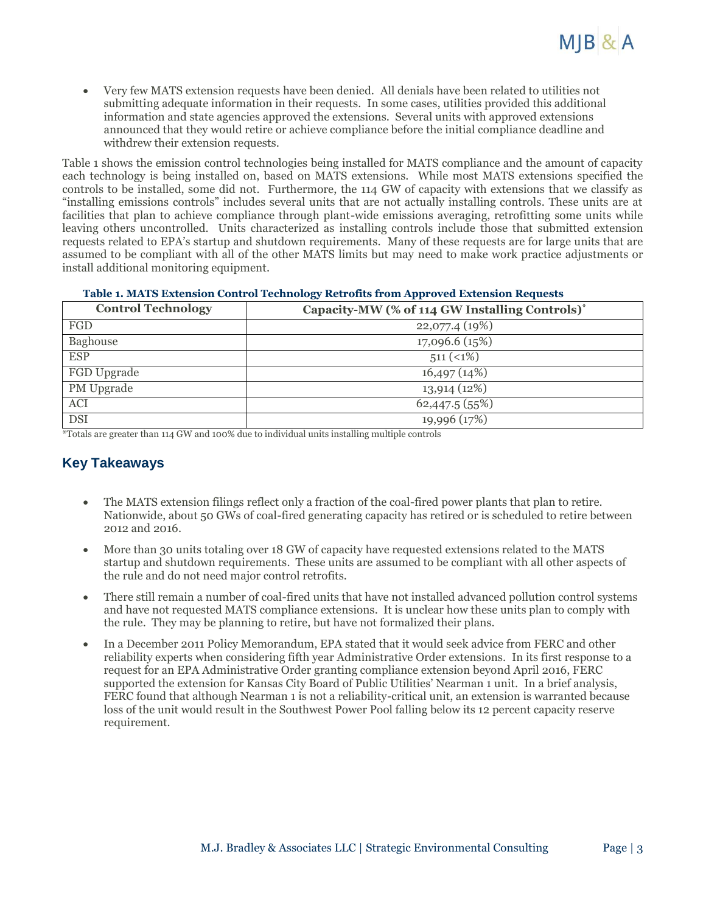Very few MATS extension requests have been denied. All denials have been related to utilities not submitting adequate information in their requests. In some cases, utilities provided this additional information and state agencies approved the extensions. Several units with approved extensions announced that they would retire or achieve compliance before the initial compliance deadline and withdrew their extension requests.

Table 1 shows the emission control technologies being installed for MATS compliance and the amount of capacity each technology is being installed on, based on MATS extensions. While most MATS extensions specified the controls to be installed, some did not. Furthermore, the 114 GW of capacity with extensions that we classify as "installing emissions controls" includes several units that are not actually installing controls. These units are at facilities that plan to achieve compliance through plant-wide emissions averaging, retrofitting some units while leaving others uncontrolled. Units characterized as installing controls include those that submitted extension requests related to EPA's startup and shutdown requirements. Many of these requests are for large units that are assumed to be compliant with all of the other MATS limits but may need to make work practice adjustments or install additional monitoring equipment.

|  |  | Table 1. MATS Extension Control Technology Retrofits from Approved Extension Requests |  |  |
|--|--|---------------------------------------------------------------------------------------|--|--|
|  |  |                                                                                       |  |  |
|  |  |                                                                                       |  |  |
|  |  |                                                                                       |  |  |

| <b>Control Technology</b> | Capacity-MW (% of 114 GW Installing Controls)* |
|---------------------------|------------------------------------------------|
| <b>FGD</b>                | 22,077.4(19%)                                  |
| Baghouse                  | 17,096.6 (15%)                                 |
| <b>ESP</b>                | $511 (1\%)$                                    |
| FGD Upgrade               | 16,497(14%)                                    |
| PM Upgrade                | 13,914 (12%)                                   |
| ACI                       | 62,447.5 (55%)                                 |
| <b>DSI</b>                | 19,996 (17%)                                   |

\*Totals are greater than 114 GW and 100% due to individual units installing multiple controls

### **Key Takeaways**

- The MATS extension filings reflect only a fraction of the coal-fired power plants that plan to retire. Nationwide, about 50 GWs of coal-fired generating capacity has retired or is scheduled to retire between 2012 and 2016.
- More than 30 units totaling over 18 GW of capacity have requested extensions related to the MATS startup and shutdown requirements. These units are assumed to be compliant with all other aspects of the rule and do not need major control retrofits.
- There still remain a number of coal-fired units that have not installed advanced pollution control systems and have not requested MATS compliance extensions. It is unclear how these units plan to comply with the rule. They may be planning to retire, but have not formalized their plans.
- In a December 2011 Policy Memorandum, EPA stated that it would seek advice from FERC and other reliability experts when considering fifth year Administrative Order extensions. In its first response to a request for an EPA Administrative Order granting compliance extension beyond April 2016, FERC supported the extension for Kansas City Board of Public Utilities' Nearman 1 unit. In a brief analysis, FERC found that although Nearman 1 is not a reliability-critical unit, an extension is warranted because loss of the unit would result in the Southwest Power Pool falling below its 12 percent capacity reserve requirement.